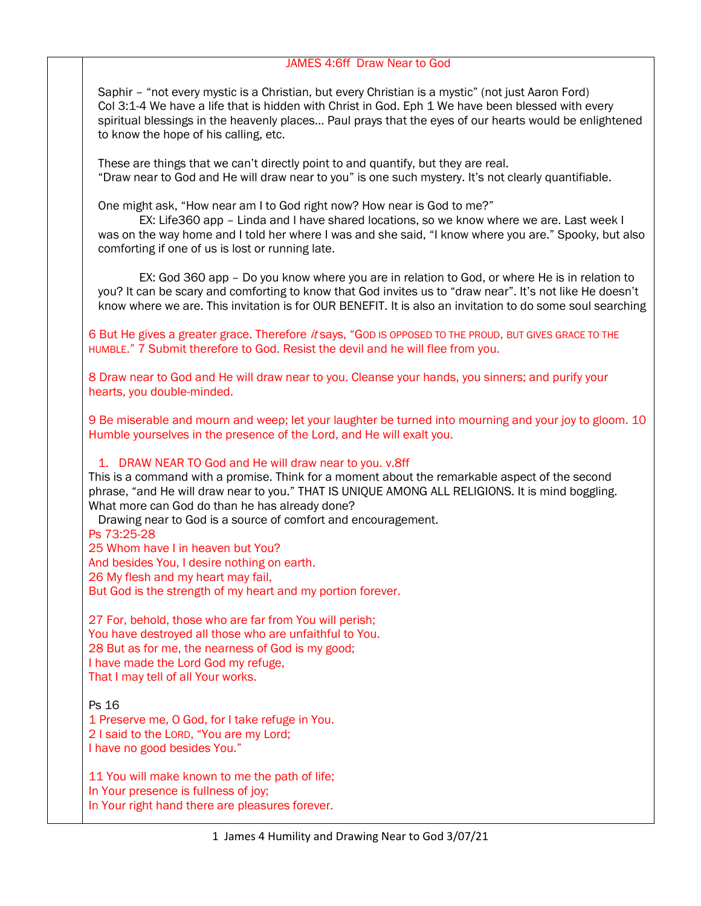### JAMES 4:6ff Draw Near to God

Saphir – "not every mystic is a Christian, but every Christian is a mystic" (not just Aaron Ford) Col 3:1-4 We have a life that is hidden with Christ in God. Eph 1 We have been blessed with every spiritual blessings in the heavenly places… Paul prays that the eyes of our hearts would be enlightened to know the hope of his calling, etc.

These are things that we can't directly point to and quantify, but they are real. "Draw near to God and He will draw near to you" is one such mystery. It's not clearly quantifiable.

One might ask, "How near am I to God right now? How near is God to me?"

 EX: Life360 app – Linda and I have shared locations, so we know where we are. Last week I was on the way home and I told her where I was and she said, "I know where you are." Spooky, but also comforting if one of us is lost or running late.

 EX: God 360 app – Do you know where you are in relation to God, or where He is in relation to you? It can be scary and comforting to know that God invites us to "draw near". It's not like He doesn't know where we are. This invitation is for OUR BENEFIT. It is also an invitation to do some soul searching

6 But He gives a greater grace. Therefore it says, "GOD IS OPPOSED TO THE PROUD, BUT GIVES GRACE TO THE HUMBLE." 7 Submit therefore to God. Resist the devil and he will flee from you.

8 Draw near to God and He will draw near to you. Cleanse your hands, you sinners; and purify your hearts, you double-minded.

9 Be miserable and mourn and weep; let your laughter be turned into mourning and your joy to gloom. 10 Humble yourselves in the presence of the Lord, and He will exalt you.

## 1. DRAW NEAR TO God and He will draw near to you. v.8ff

This is a command with a promise. Think for a moment about the remarkable aspect of the second phrase, "and He will draw near to you." THAT IS UNIQUE AMONG ALL RELIGIONS. It is mind boggling. What more can God do than he has already done?

Drawing near to God is a source of comfort and encouragement. Ps 73:25-28

25 Whom have I in heaven but You?

And besides You, I desire nothing on earth.

26 My flesh and my heart may fail,

But God is the strength of my heart and my portion forever.

27 For, behold, those who are far from You will perish; You have destroyed all those who are unfaithful to You. 28 But as for me, the nearness of God is my good; I have made the Lord God my refuge, That I may tell of all Your works.

Ps 16

1 Preserve me, O God, for I take refuge in You. 2 I said to the LORD, "You are my Lord; I have no good besides You."

11 You will make known to me the path of life; In Your presence is fullness of joy; In Your right hand there are pleasures forever.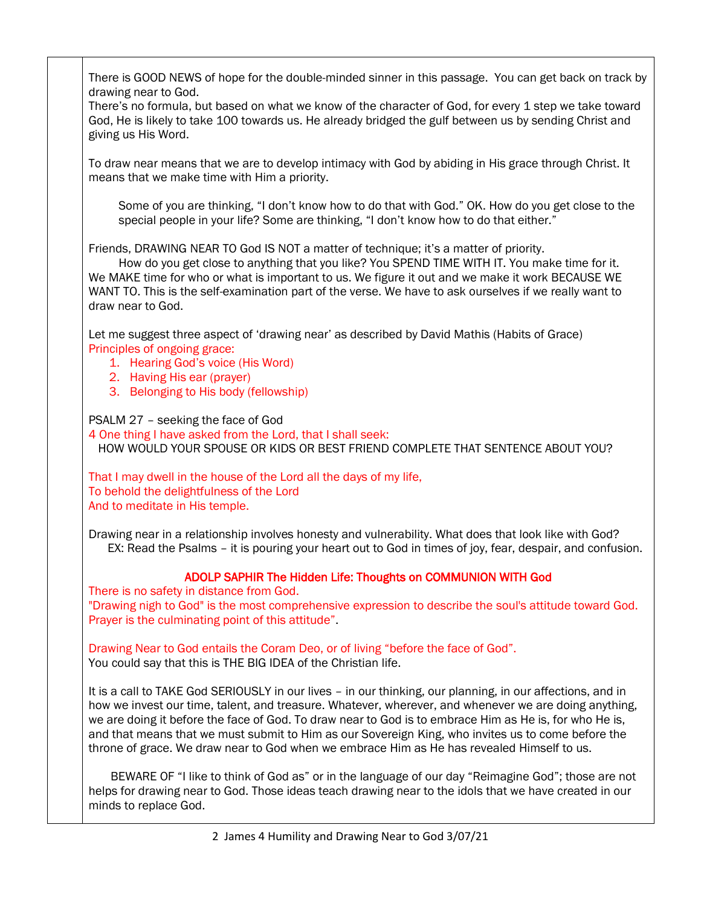There is GOOD NEWS of hope for the double-minded sinner in this passage. You can get back on track by drawing near to God. There's no formula, but based on what we know of the character of God, for every 1 step we take toward God, He is likely to take 100 towards us. He already bridged the gulf between us by sending Christ and giving us His Word. To draw near means that we are to develop intimacy with God by abiding in His grace through Christ. It means that we make time with Him a priority. Some of you are thinking, "I don't know how to do that with God." OK. How do you get close to the special people in your life? Some are thinking, "I don't know how to do that either." Friends, DRAWING NEAR TO God IS NOT a matter of technique; it's a matter of priority. How do you get close to anything that you like? You SPEND TIME WITH IT. You make time for it. We MAKE time for who or what is important to us. We figure it out and we make it work BECAUSE WE WANT TO. This is the self-examination part of the verse. We have to ask ourselves if we really want to draw near to God. Let me suggest three aspect of 'drawing near' as described by David Mathis (Habits of Grace) Principles of ongoing grace: 1. Hearing God's voice (His Word) 2. Having His ear (prayer) 3. Belonging to His body (fellowship) PSALM 27 – seeking the face of God 4 One thing I have asked from the Lord, that I shall seek: HOW WOULD YOUR SPOUSE OR KIDS OR BEST FRIEND COMPLETE THAT SENTENCE ABOUT YOU? That I may dwell in the house of the Lord all the days of my life, To behold the delightfulness of the Lord And to meditate in His temple. Drawing near in a relationship involves honesty and vulnerability. What does that look like with God? EX: Read the Psalms – it is pouring your heart out to God in times of joy, fear, despair, and confusion. ADOLP SAPHIR The Hidden Life: Thoughts on COMMUNION WITH God There is no safety in distance from God. "Drawing nigh to God" is the most comprehensive expression to describe the soul's attitude toward God. Prayer is the culminating point of this attitude". Drawing Near to God entails the Coram Deo, or of living "before the face of God". You could say that this is THE BIG IDEA of the Christian life. It is a call to TAKE God SERIOUSLY in our lives – in our thinking, our planning, in our affections, and in how we invest our time, talent, and treasure. Whatever, wherever, and whenever we are doing anything, we are doing it before the face of God. To draw near to God is to embrace Him as He is, for who He is, and that means that we must submit to Him as our Sovereign King, who invites us to come before the throne of grace. We draw near to God when we embrace Him as He has revealed Himself to us. BEWARE OF "I like to think of God as" or in the language of our day "Reimagine God"; those are not helps for drawing near to God. Those ideas teach drawing near to the idols that we have created in our minds to replace God.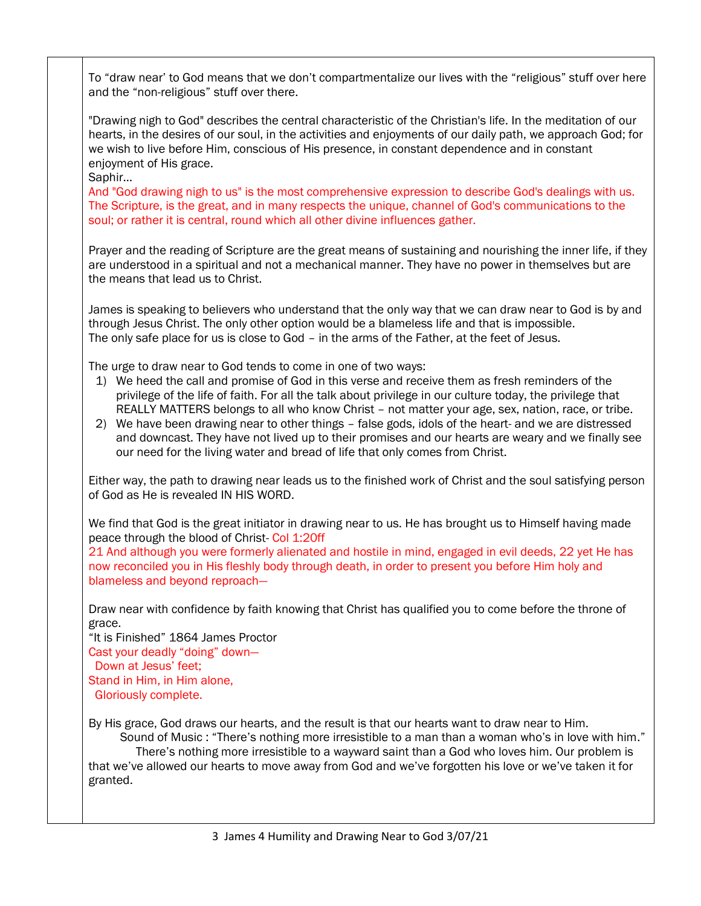To "draw near' to God means that we don't compartmentalize our lives with the "religious" stuff over here and the "non-religious" stuff over there.

"Drawing nigh to God" describes the central characteristic of the Christian's life. In the meditation of our hearts, in the desires of our soul, in the activities and enjoyments of our daily path, we approach God; for we wish to live before Him, conscious of His presence, in constant dependence and in constant enjoyment of His grace.

Saphir…

And "God drawing nigh to us" is the most comprehensive expression to describe God's dealings with us. The Scripture, is the great, and in many respects the unique, channel of God's communications to the soul; or rather it is central, round which all other divine influences gather.

Prayer and the reading of Scripture are the great means of sustaining and nourishing the inner life, if they are understood in a spiritual and not a mechanical manner. They have no power in themselves but are the means that lead us to Christ.

James is speaking to believers who understand that the only way that we can draw near to God is by and through Jesus Christ. The only other option would be a blameless life and that is impossible. The only safe place for us is close to God – in the arms of the Father, at the feet of Jesus.

The urge to draw near to God tends to come in one of two ways:

- 1) We heed the call and promise of God in this verse and receive them as fresh reminders of the privilege of the life of faith. For all the talk about privilege in our culture today, the privilege that REALLY MATTERS belongs to all who know Christ – not matter your age, sex, nation, race, or tribe.
- 2) We have been drawing near to other things false gods, idols of the heart- and we are distressed and downcast. They have not lived up to their promises and our hearts are weary and we finally see our need for the living water and bread of life that only comes from Christ.

Either way, the path to drawing near leads us to the finished work of Christ and the soul satisfying person of God as He is revealed IN HIS WORD.

We find that God is the great initiator in drawing near to us. He has brought us to Himself having made peace through the blood of Christ- Col 1:20ff

21 And although you were formerly alienated and hostile in mind, engaged in evil deeds, 22 yet He has now reconciled you in His fleshly body through death, in order to present you before Him holy and blameless and beyond reproach—

Draw near with confidence by faith knowing that Christ has qualified you to come before the throne of grace.

"It is Finished" 1864 James Proctor Cast your deadly "doing" down— Down at Jesus' feet; Stand in Him, in Him alone, Gloriously complete.

By His grace, God draws our hearts, and the result is that our hearts want to draw near to Him.

 Sound of Music : "There's nothing more irresistible to a man than a woman who's in love with him." There's nothing more irresistible to a wayward saint than a God who loves him. Our problem is that we've allowed our hearts to move away from God and we've forgotten his love or we've taken it for granted.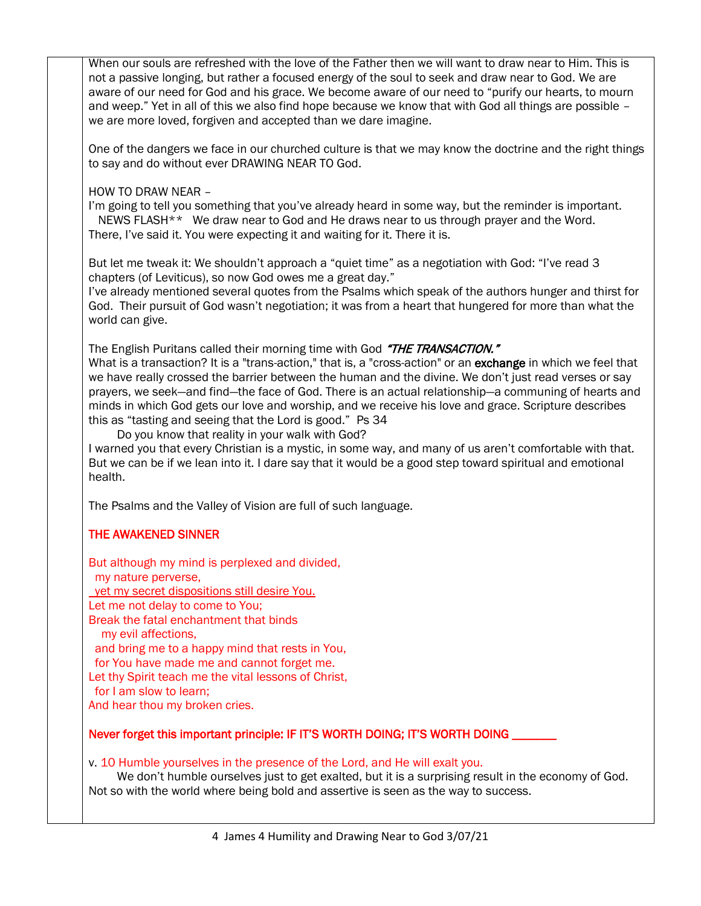When our souls are refreshed with the love of the Father then we will want to draw near to Him. This is not a passive longing, but rather a focused energy of the soul to seek and draw near to God. We are aware of our need for God and his grace. We become aware of our need to "purify our hearts, to mourn and weep." Yet in all of this we also find hope because we know that with God all things are possible – we are more loved, forgiven and accepted than we dare imagine.

One of the dangers we face in our churched culture is that we may know the doctrine and the right things to say and do without ever DRAWING NEAR TO God.

HOW TO DRAW NEAR –

I'm going to tell you something that you've already heard in some way, but the reminder is important. NEWS FLASH\*\* We draw near to God and He draws near to us through prayer and the Word. There, I've said it. You were expecting it and waiting for it. There it is.

But let me tweak it: We shouldn't approach a "quiet time" as a negotiation with God: "I've read 3 chapters (of Leviticus), so now God owes me a great day."

I've already mentioned several quotes from the Psalms which speak of the authors hunger and thirst for God. Their pursuit of God wasn't negotiation; it was from a heart that hungered for more than what the world can give.

The English Puritans called their morning time with God "THE TRANSACTION."

What is a transaction? It is a "trans-action," that is, a "cross-action" or an exchange in which we feel that we have really crossed the barrier between the human and the divine. We don't just read verses or say prayers, we seek—and find—the face of God. There is an actual relationship—a communing of hearts and minds in which God gets our love and worship, and we receive his love and grace. Scripture describes this as "tasting and seeing that the Lord is good." Ps 34

Do you know that reality in your walk with God?

I warned you that every Christian is a mystic, in some way, and many of us aren't comfortable with that. But we can be if we lean into it. I dare say that it would be a good step toward spiritual and emotional health.

The Psalms and the Valley of Vision are full of such language.

## THE AWAKENED SINNER

But although my mind is perplexed and divided, my nature perverse, yet my secret dispositions still desire You. Let me not delay to come to You; Break the fatal enchantment that binds my evil affections, and bring me to a happy mind that rests in You, for You have made me and cannot forget me. Let thy Spirit teach me the vital lessons of Christ, for I am slow to learn; And hear thou my broken cries.

## Never forget this important principle: IF IT'S WORTH DOING; IT'S WORTH DOING

v. 10 Humble yourselves in the presence of the Lord, and He will exalt you.

 We don't humble ourselves just to get exalted, but it is a surprising result in the economy of God. Not so with the world where being bold and assertive is seen as the way to success.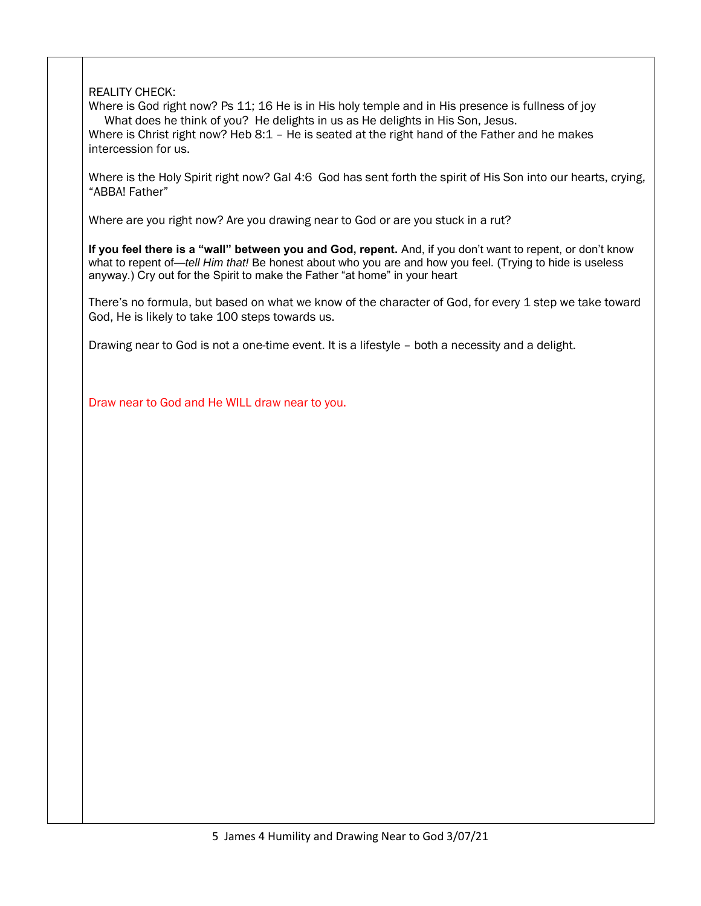# REALITY CHECK:

Where is God right now? Ps 11; 16 He is in His holy temple and in His presence is fullness of joy What does he think of you? He delights in us as He delights in His Son, Jesus. Where is Christ right now? Heb 8:1 – He is seated at the right hand of the Father and he makes intercession for us.

Where is the Holy Spirit right now? Gal 4:6 God has sent forth the spirit of His Son into our hearts, crying, "ABBA! Father"

Where are you right now? Are you drawing near to God or are you stuck in a rut?

If you feel there is a "wall" between you and God, repent. And, if you don't want to repent, or don't know what to repent of—*tell Him that!* Be honest about who you are and how you feel. (Trying to hide is useless anyway.) Cry out for the Spirit to make the Father "at home" in your heart

There's no formula, but based on what we know of the character of God, for every 1 step we take toward God, He is likely to take 100 steps towards us.

Drawing near to God is not a one-time event. It is a lifestyle – both a necessity and a delight.

Draw near to God and He WILL draw near to you.